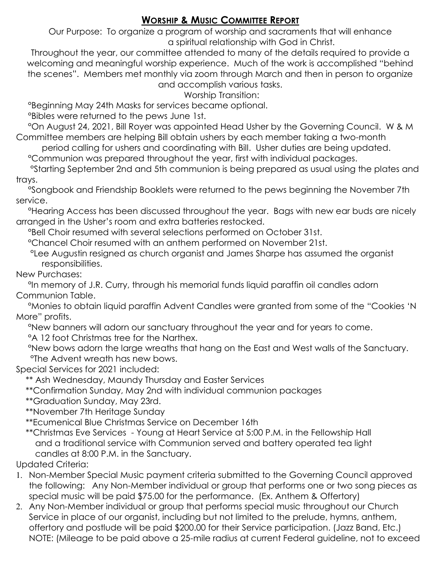## **WORSHIP & MUSIC COMMITTEE REPORT**

Our Purpose: To organize a program of worship and sacraments that will enhance a spiritual relationship with God in Christ.

Throughout the year, our committee attended to many of the details required to provide a welcoming and meaningful worship experience. Much of the work is accomplished "behind the scenes". Members met monthly via zoom through March and then in person to organize and accomplish various tasks.

Worship Transition:

°Beginning May 24th Masks for services became optional.

°Bibles were returned to the pews June 1st.

 °On August 24, 2021, Bill Royer was appointed Head Usher by the Governing Council. W & M Committee members are helping Bill obtain ushers by each member taking a two-month

period calling for ushers and coordinating with Bill. Usher duties are being updated.

°Communion was prepared throughout the year, first with individual packages.

 °Starting September 2nd and 5th communion is being prepared as usual using the plates and trays.

 °Songbook and Friendship Booklets were returned to the pews beginning the November 7th service.

 °Hearing Access has been discussed throughout the year. Bags with new ear buds are nicely arranged in the Usher's room and extra batteries restocked.

°Bell Choir resumed with several selections performed on October 31st.

°Chancel Choir resumed with an anthem performed on November 21st.

 °Lee Augustin resigned as church organist and James Sharpe has assumed the organist responsibilities.

## New Purchases:

 °In memory of J.R. Curry, through his memorial funds liquid paraffin oil candles adorn Communion Table.

 °Monies to obtain liquid paraffin Advent Candles were granted from some of the "Cookies 'N More" profits.

°New banners will adorn our sanctuary throughout the year and for years to come.

°A 12 foot Christmas tree for the Narthex.

 °New bows adorn the large wreaths that hang on the East and West walls of the Sanctuary. °The Advent wreath has new bows.

Special Services for 2021 included:

\*\* Ash Wednesday, Maundy Thursday and Easter Services

\*\*Confirmation Sunday, May 2nd with individual communion packages

\*\*Graduation Sunday, May 23rd.

\*\*November 7th Heritage Sunday

\*\*Ecumenical Blue Christmas Service on December 16th

 \*\*Christmas Eve Services - Young at Heart Service at 5:00 P.M. in the Fellowship Hall and a traditional service with Communion served and battery operated tea light candles at 8:00 P.M. in the Sanctuary.

Updated Criteria:

- 1. Non-Member Special Music payment criteria submitted to the Governing Council approved the following: Any Non-Member individual or group that performs one or two song pieces as special music will be paid \$75.00 for the performance. (Ex. Anthem & Offertory)
- 2. Any Non-Member individual or group that performs special music throughout our Church Service in place of our organist, including but not limited to the prelude, hymns, anthem, offertory and postlude will be paid \$200.00 for their Service participation. (Jazz Band, Etc.) NOTE: (Mileage to be paid above a 25-mile radius at current Federal guideline, not to exceed